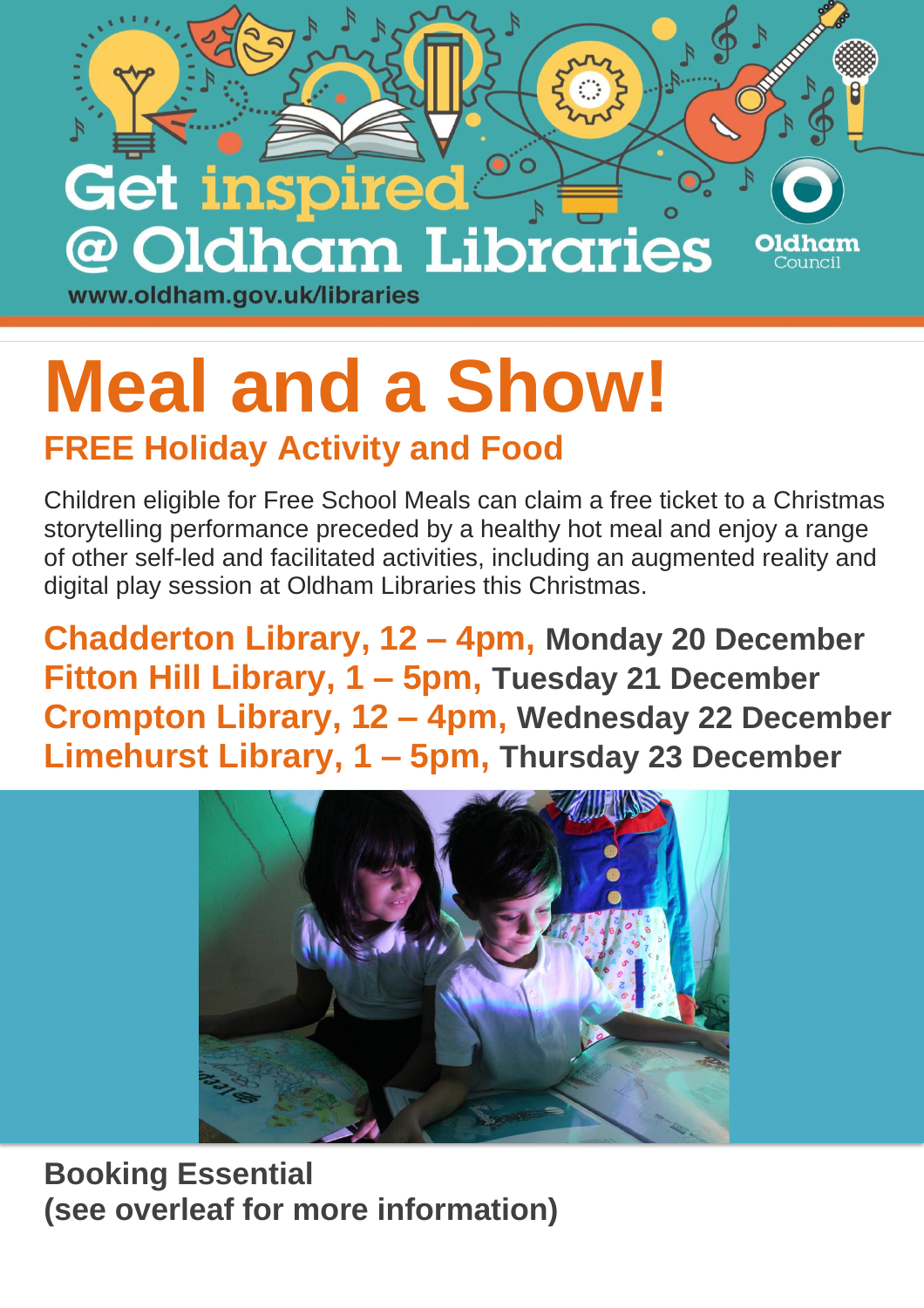

## **Meal and a Show! FREE Holiday Activity and Food**

Children eligible for Free School Meals can claim a free ticket to a Christmas storytelling performance preceded by a healthy hot meal and enjoy a range of other self-led and facilitated activities, including an augmented reality and digital play session at Oldham Libraries this Christmas.

**Chadderton Library, 12 – 4pm, Monday 20 December Fitton Hill Library, 1 – 5pm, Tuesday 21 December Crompton Library, 12 – 4pm, Wednesday 22 December Limehurst Library, 1 – 5pm, Thursday 23 December**



**Booking Essential (see overleaf for more information)**